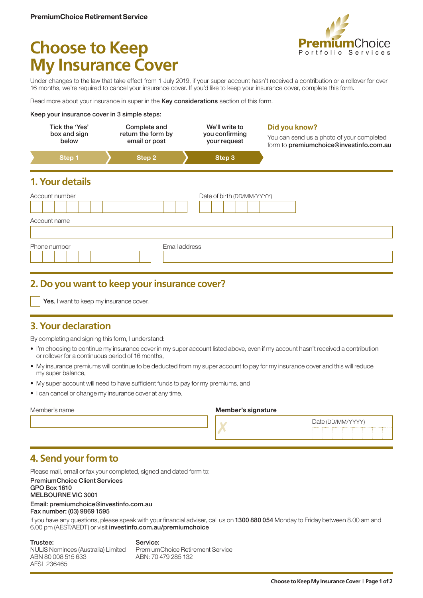

# **Choose to Keep My Insurance Cover**

Under changes to the law that take effect from 1 July 2019, if your super account hasn't received a contribution or a rollover for over 16 months, we're required to cancel your insurance cover. If you'd like to keep your insurance cover, complete this form.

Read more about your insurance in super in the Key considerations section of this form.

#### Keep your insurance cover in 3 simple steps:

| Tick the 'Yes'<br>box and sign<br>below |                 | Complete and<br>return the form by<br>email or post |        |               | We'll write to<br>you confirming<br>your request | Did you know?<br>You can send us a photo of your completed<br>form to premiumchoice@investinfo.com.au |
|-----------------------------------------|-----------------|-----------------------------------------------------|--------|---------------|--------------------------------------------------|-------------------------------------------------------------------------------------------------------|
|                                         | Step 1          |                                                     | Step 2 |               | Step 3                                           |                                                                                                       |
|                                         | 1. Your details |                                                     |        |               |                                                  |                                                                                                       |
| Account number                          |                 |                                                     |        |               | Date of birth (DD/MM/YYYY)                       |                                                                                                       |
|                                         | Account name    |                                                     |        |               |                                                  |                                                                                                       |
|                                         |                 |                                                     |        |               |                                                  |                                                                                                       |
|                                         | Phone number    |                                                     |        | Email address |                                                  |                                                                                                       |
|                                         |                 |                                                     |        |               |                                                  |                                                                                                       |

## **2. Do you want to keep your insurance cover?**

Yes, I want to keep my insurance cover.

# **3. Your declaration**

By completing and signing this form, I understand:

- I'm choosing to continue my insurance cover in my super account listed above, even if my account hasn't received a contribution or rollover for a continuous period of 16 months,
- My insurance premiums will continue to be deducted from my super account to pay for my insurance cover and this will reduce my super balance,
- My super account will need to have sufficient funds to pay for my premiums, and
- I can cancel or change my insurance cover at any time.

#### Member's signature

| Date (DD/MM/YYYY) |  |                                 |  |  |  |  |  |  |  |  |  |  |  |
|-------------------|--|---------------------------------|--|--|--|--|--|--|--|--|--|--|--|
|                   |  | ------------------------------- |  |  |  |  |  |  |  |  |  |  |  |
|                   |  |                                 |  |  |  |  |  |  |  |  |  |  |  |
|                   |  |                                 |  |  |  |  |  |  |  |  |  |  |  |
|                   |  |                                 |  |  |  |  |  |  |  |  |  |  |  |
|                   |  |                                 |  |  |  |  |  |  |  |  |  |  |  |
|                   |  |                                 |  |  |  |  |  |  |  |  |  |  |  |
|                   |  |                                 |  |  |  |  |  |  |  |  |  |  |  |
|                   |  |                                 |  |  |  |  |  |  |  |  |  |  |  |
|                   |  |                                 |  |  |  |  |  |  |  |  |  |  |  |
|                   |  |                                 |  |  |  |  |  |  |  |  |  |  |  |

## **4. Send your form to**

Please mail, email or fax your completed, signed and dated form to: PremiumChoice Client Services GPO Box 1610 MELBOURNE VIC 3001 Email: [premiumchoice@investinfo.com.au](mailto:premiumchoice%40investinfo.com.au?subject=)

Fax number: (03) 9869 1595

If you have any questions, please speak with your financial adviser, call us on 1300 880 054 Monday to Friday between 8.00 am and 6.00 pm (AEST/AEDT) or visit [investinfo.com.au/premiumchoice](https://www.investinfo.com.au/site/cms/premium-choice/public/index.html)

Trustee: NULIS Nominees (Australia) Limited ABN 80 008 515 633 AFSL 236465 Service: PremiumChoice Retirement Service ABN: 70 479 285 132

**Choose to Keep My Insurance Cover | Page 1 of 2**